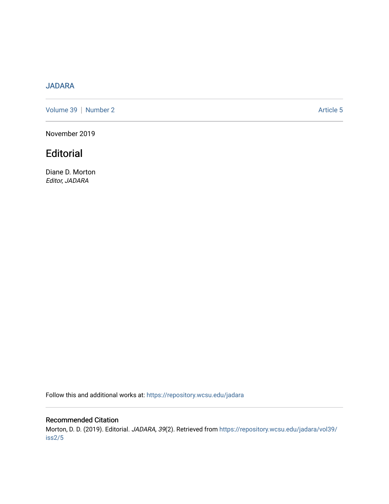# [JADARA](https://repository.wcsu.edu/jadara)

[Volume 39](https://repository.wcsu.edu/jadara/vol39) | [Number 2](https://repository.wcsu.edu/jadara/vol39/iss2) Article 5

November 2019

# **Editorial**

Diane D. Morton Editor, JADARA

Follow this and additional works at: [https://repository.wcsu.edu/jadara](https://repository.wcsu.edu/jadara?utm_source=repository.wcsu.edu%2Fjadara%2Fvol39%2Fiss2%2F5&utm_medium=PDF&utm_campaign=PDFCoverPages)

## Recommended Citation

Morton, D. D. (2019). Editorial. JADARA, 39(2). Retrieved from [https://repository.wcsu.edu/jadara/vol39/](https://repository.wcsu.edu/jadara/vol39/iss2/5?utm_source=repository.wcsu.edu%2Fjadara%2Fvol39%2Fiss2%2F5&utm_medium=PDF&utm_campaign=PDFCoverPages) [iss2/5](https://repository.wcsu.edu/jadara/vol39/iss2/5?utm_source=repository.wcsu.edu%2Fjadara%2Fvol39%2Fiss2%2F5&utm_medium=PDF&utm_campaign=PDFCoverPages)